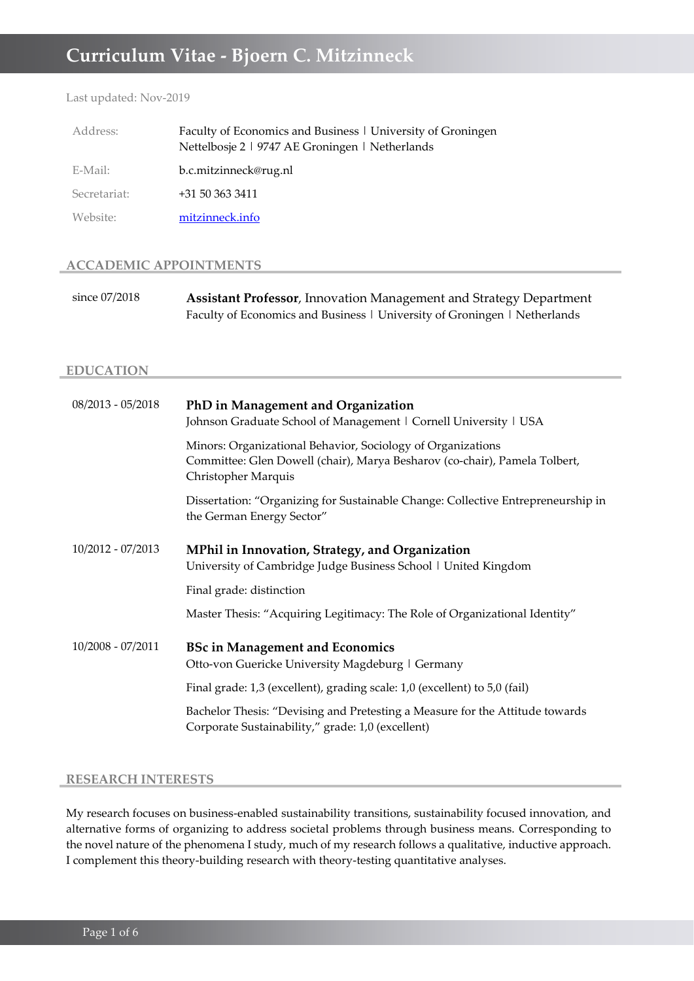# **Curriculum Vitae - Bjoern C. Mitzinneck**

Last updated: Nov-2019

| Address:     | Faculty of Economics and Business   University of Groningen<br>Nettelbosje 2   9747 AE Groningen   Netherlands |
|--------------|----------------------------------------------------------------------------------------------------------------|
| E-Mail:      | b.c.mitzinneck@rug.nl                                                                                          |
| Secretariat: | +31 50 363 3411                                                                                                |
| Website:     | mitzinneck.info                                                                                                |

### **ACCADEMIC APPOINTMENTS**

| since 07/2018 | <b>Assistant Professor</b> , Innovation Management and Strategy Department |
|---------------|----------------------------------------------------------------------------|
|               | Faculty of Economics and Business   University of Groningen   Netherlands  |

### **EDUCATION**

| $08/2013 - 05/2018$ | PhD in Management and Organization<br>Johnson Graduate School of Management   Cornell University   USA                                                           |
|---------------------|------------------------------------------------------------------------------------------------------------------------------------------------------------------|
|                     | Minors: Organizational Behavior, Sociology of Organizations<br>Committee: Glen Dowell (chair), Marya Besharov (co-chair), Pamela Tolbert,<br>Christopher Marquis |
|                     | Dissertation: "Organizing for Sustainable Change: Collective Entrepreneurship in<br>the German Energy Sector"                                                    |
| 10/2012 - 07/2013   | MPhil in Innovation, Strategy, and Organization<br>University of Cambridge Judge Business School   United Kingdom                                                |
|                     | Final grade: distinction                                                                                                                                         |
|                     | Master Thesis: "Acquiring Legitimacy: The Role of Organizational Identity"                                                                                       |
| $10/2008 - 07/2011$ | <b>BSc in Management and Economics</b><br>Otto-von Guericke University Magdeburg   Germany                                                                       |
|                     | Final grade: 1,3 (excellent), grading scale: 1,0 (excellent) to 5,0 (fail)                                                                                       |
|                     | Bachelor Thesis: "Devising and Pretesting a Measure for the Attitude towards<br>Corporate Sustainability," grade: 1,0 (excellent)                                |

### **RESEARCH INTERESTS**

My research focuses on business-enabled sustainability transitions, sustainability focused innovation, and alternative forms of organizing to address societal problems through business means. Corresponding to the novel nature of the phenomena I study, much of my research follows a qualitative, inductive approach. I complement this theory-building research with theory-testing quantitative analyses.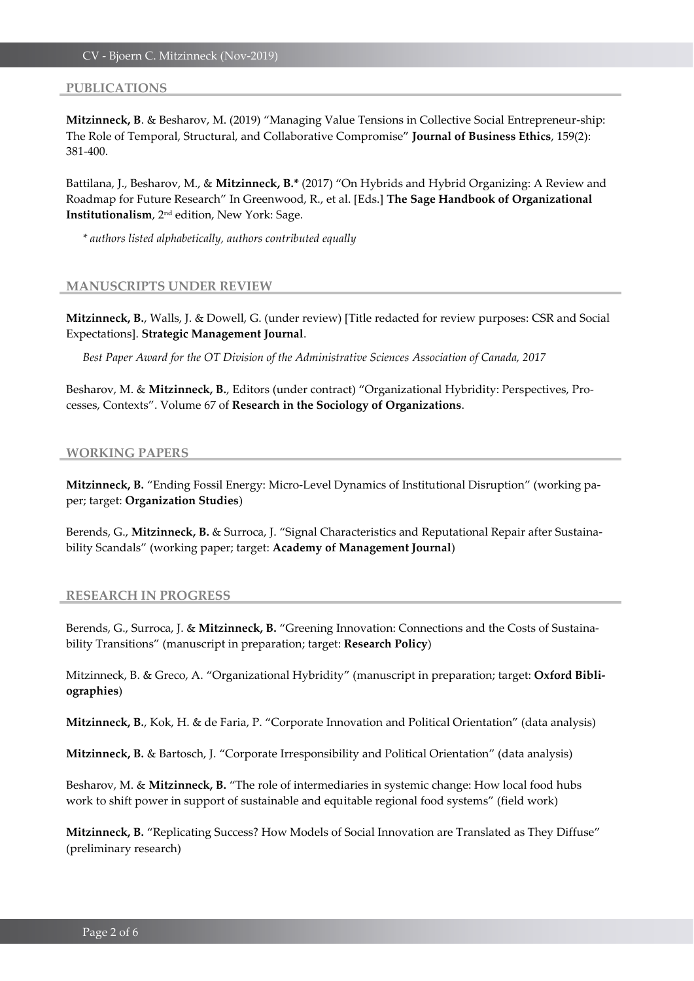#### **PUBLICATIONS**

**Mitzinneck, B**. & Besharov, M. (2019) "Managing Value Tensions in Collective Social Entrepreneur-ship: The Role of Temporal, Structural, and Collaborative Compromise" **Journal of Business Ethics**, 159(2): 381-400.

Battilana, J., Besharov, M., & **Mitzinneck, B.\*** (2017) "On Hybrids and Hybrid Organizing: A Review and Roadmap for Future Research" In Greenwood, R., et al. [Eds.] **The Sage Handbook of Organizational Institutionalism**, 2nd edition, New York: Sage.

*\* authors listed alphabetically, authors contributed equally* 

#### **MANUSCRIPTS UNDER REVIEW**

**Mitzinneck, B.**, Walls, J. & Dowell, G. (under review) [Title redacted for review purposes: CSR and Social Expectations]. **Strategic Management Journal**.

*Best Paper Award for the OT Division of the Administrative Sciences Association of Canada, 2017*

Besharov, M. & **Mitzinneck, B.**, Editors (under contract) "Organizational Hybridity: Perspectives, Processes, Contexts". Volume 67 of **Research in the Sociology of Organizations**.

#### **WORKING PAPERS**

**Mitzinneck, B.** "Ending Fossil Energy: Micro-Level Dynamics of Institutional Disruption" (working paper; target: **Organization Studies**)

Berends, G., **Mitzinneck, B.** & Surroca, J. "Signal Characteristics and Reputational Repair after Sustainability Scandals" (working paper; target: **Academy of Management Journal**)

#### **RESEARCH IN PROGRESS**

Berends, G., Surroca, J. & **Mitzinneck, B.** "Greening Innovation: Connections and the Costs of Sustainability Transitions" (manuscript in preparation; target: **Research Policy**)

Mitzinneck, B. & Greco, A. "Organizational Hybridity" (manuscript in preparation; target: **Oxford Bibliographies**)

**Mitzinneck, B.**, Kok, H. & de Faria, P. "Corporate Innovation and Political Orientation" (data analysis)

**Mitzinneck, B.** & Bartosch, J. "Corporate Irresponsibility and Political Orientation" (data analysis)

Besharov, M. & **Mitzinneck, B.** "The role of intermediaries in systemic change: How local food hubs work to shift power in support of sustainable and equitable regional food systems" (field work)

**Mitzinneck, B.** "Replicating Success? How Models of Social Innovation are Translated as They Diffuse" (preliminary research)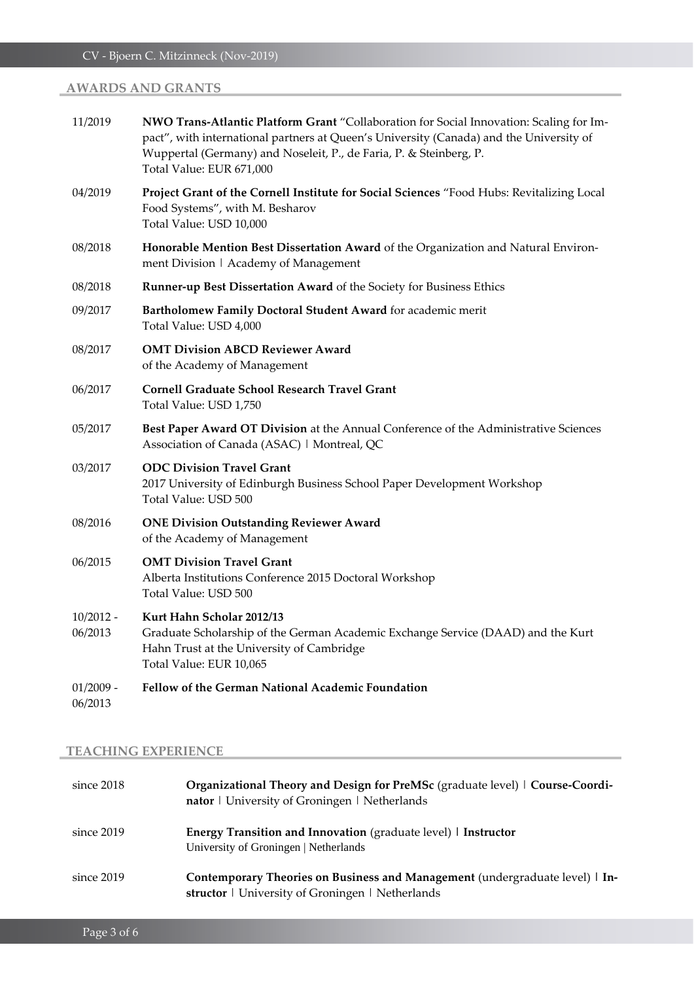# **AWARDS AND GRANTS**

| 11/2019                | NWO Trans-Atlantic Platform Grant "Collaboration for Social Innovation: Scaling for Im-<br>pact", with international partners at Queen's University (Canada) and the University of<br>Wuppertal (Germany) and Noseleit, P., de Faria, P. & Steinberg, P.<br>Total Value: EUR 671,000 |
|------------------------|--------------------------------------------------------------------------------------------------------------------------------------------------------------------------------------------------------------------------------------------------------------------------------------|
| 04/2019                | Project Grant of the Cornell Institute for Social Sciences "Food Hubs: Revitalizing Local<br>Food Systems", with M. Besharov<br>Total Value: USD 10,000                                                                                                                              |
| 08/2018                | Honorable Mention Best Dissertation Award of the Organization and Natural Environ-<br>ment Division   Academy of Management                                                                                                                                                          |
| 08/2018                | Runner-up Best Dissertation Award of the Society for Business Ethics                                                                                                                                                                                                                 |
| 09/2017                | Bartholomew Family Doctoral Student Award for academic merit<br>Total Value: USD 4,000                                                                                                                                                                                               |
| 08/2017                | <b>OMT Division ABCD Reviewer Award</b><br>of the Academy of Management                                                                                                                                                                                                              |
| 06/2017                | <b>Cornell Graduate School Research Travel Grant</b><br>Total Value: USD 1,750                                                                                                                                                                                                       |
| 05/2017                | Best Paper Award OT Division at the Annual Conference of the Administrative Sciences<br>Association of Canada (ASAC)   Montreal, QC                                                                                                                                                  |
| 03/2017                | <b>ODC Division Travel Grant</b><br>2017 University of Edinburgh Business School Paper Development Workshop<br>Total Value: USD 500                                                                                                                                                  |
| 08/2016                | <b>ONE Division Outstanding Reviewer Award</b><br>of the Academy of Management                                                                                                                                                                                                       |
| 06/2015                | <b>OMT Division Travel Grant</b><br>Alberta Institutions Conference 2015 Doctoral Workshop<br>Total Value: USD 500                                                                                                                                                                   |
| $10/2012 -$<br>06/2013 | Kurt Hahn Scholar 2012/13<br>Graduate Scholarship of the German Academic Exchange Service (DAAD) and the Kurt<br>Hahn Trust at the University of Cambridge<br>Total Value: EUR 10,065                                                                                                |
| $01/2009 -$<br>06/2013 | Fellow of the German National Academic Foundation                                                                                                                                                                                                                                    |

# **TEACHING EXPERIENCE**

| since $2018$ | Organizational Theory and Design for PreMSc (graduate level)   Course-Coordi-<br>nator   University of Groningen   Netherlands   |
|--------------|----------------------------------------------------------------------------------------------------------------------------------|
| since 2019   | <b>Energy Transition and Innovation</b> (graduate level) I Instructor<br>University of Groningen   Netherlands                   |
| since 2019   | Contemporary Theories on Business and Management (undergraduate level)   In-<br>structor   University of Groningen   Netherlands |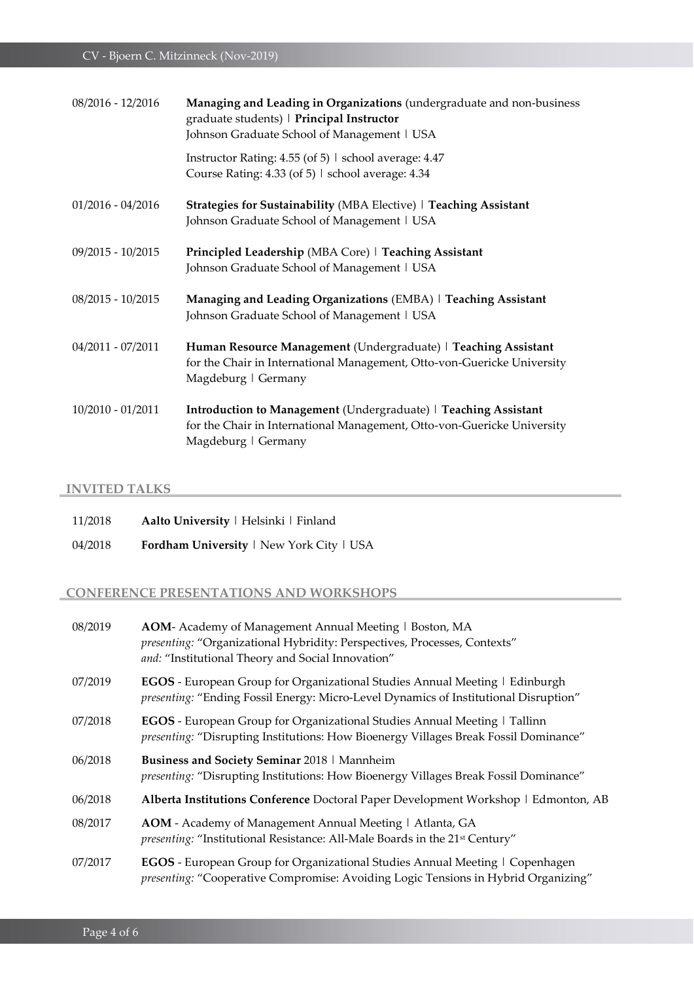| 08/2016 - 12/2016   | Managing and Leading in Organizations (undergraduate and non-business<br>graduate students)   Principal Instructor<br>Johnson Graduate School of Management   USA |
|---------------------|-------------------------------------------------------------------------------------------------------------------------------------------------------------------|
|                     | Instructor Rating: 4.55 (of 5)   school average: 4.47<br>Course Rating: 4.33 (of 5)   school average: 4.34                                                        |
| $01/2016 - 04/2016$ | Strategies for Sustainability (MBA Elective)   Teaching Assistant<br>Johnson Graduate School of Management   USA                                                  |
| 09/2015 - 10/2015   | Principled Leadership (MBA Core)   Teaching Assistant<br>Johnson Graduate School of Management   USA                                                              |
| $08/2015 - 10/2015$ | Managing and Leading Organizations (EMBA)   Teaching Assistant<br>Johnson Graduate School of Management   USA                                                     |
| 04/2011 - 07/2011   | Human Resource Management (Undergraduate)   Teaching Assistant<br>for the Chair in International Management, Otto-von-Guericke University<br>Magdeburg   Germany  |
| $10/2010 - 01/2011$ | Introduction to Management (Undergraduate)   Teaching Assistant<br>for the Chair in International Management, Otto-von-Guericke University<br>Magdeburg   Germany |

# **INVITED TALKS**

| 11/2018 | Aalto University   Helsinki   Finland    |
|---------|------------------------------------------|
| 04/2018 | Fordham University   New York City   USA |

## **CONFERENCE PRESENTATIONS AND WORKSHOPS**

| 08/2019 | AOM- Academy of Management Annual Meeting   Boston, MA<br>presenting: "Organizational Hybridity: Perspectives, Processes, Contexts"<br>and: "Institutional Theory and Social Innovation" |
|---------|------------------------------------------------------------------------------------------------------------------------------------------------------------------------------------------|
| 07/2019 | <b>EGOS</b> - European Group for Organizational Studies Annual Meeting   Edinburgh<br>presenting: "Ending Fossil Energy: Micro-Level Dynamics of Institutional Disruption"               |
| 07/2018 | <b>EGOS</b> - European Group for Organizational Studies Annual Meeting   Tallinn<br>presenting: "Disrupting Institutions: How Bioenergy Villages Break Fossil Dominance"                 |
| 06/2018 | Business and Society Seminar 2018   Mannheim<br><i>presenting:</i> "Disrupting Institutions: How Bioenergy Villages Break Fossil Dominance"                                              |
| 06/2018 | Alberta Institutions Conference Doctoral Paper Development Workshop   Edmonton, AB                                                                                                       |
| 08/2017 | AOM - Academy of Management Annual Meeting   Atlanta, GA<br><i>presenting:</i> "Institutional Resistance: All-Male Boards in the 21 <sup>st</sup> Century"                               |
| 07/2017 | <b>EGOS</b> - European Group for Organizational Studies Annual Meeting   Copenhagen<br>presenting: "Cooperative Compromise: Avoiding Logic Tensions in Hybrid Organizing"                |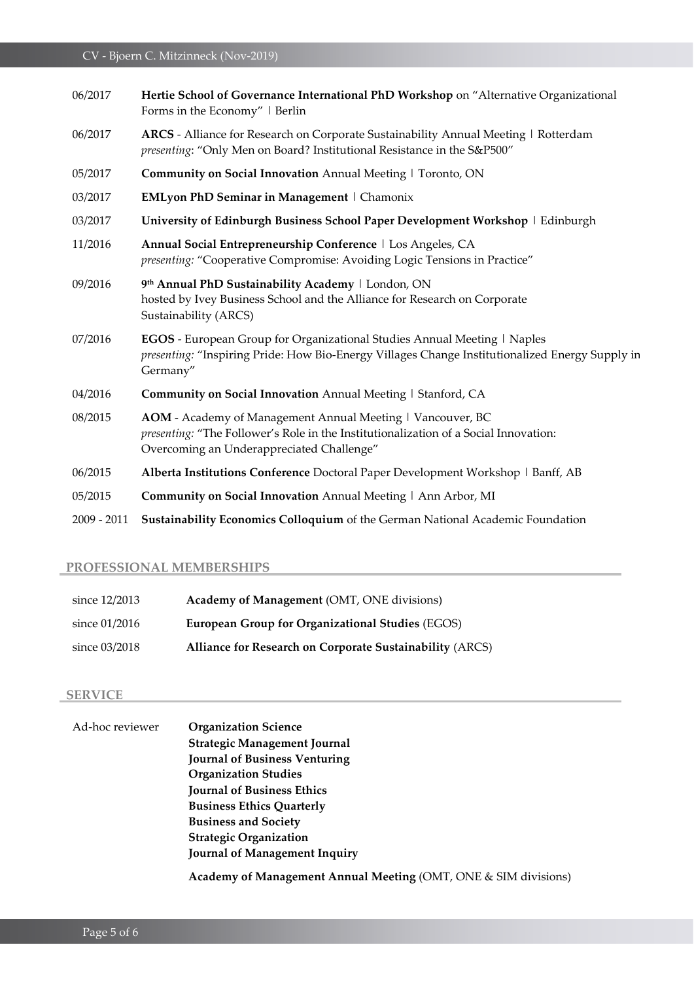| 06/2017       | Hertie School of Governance International PhD Workshop on "Alternative Organizational<br>Forms in the Economy"   Berlin                                                                         |
|---------------|-------------------------------------------------------------------------------------------------------------------------------------------------------------------------------------------------|
| 06/2017       | ARCS - Alliance for Research on Corporate Sustainability Annual Meeting   Rotterdam<br>presenting: "Only Men on Board? Institutional Resistance in the S&P500"                                  |
| 05/2017       | Community on Social Innovation Annual Meeting   Toronto, ON                                                                                                                                     |
| 03/2017       | EMLyon PhD Seminar in Management   Chamonix                                                                                                                                                     |
| 03/2017       | University of Edinburgh Business School Paper Development Workshop   Edinburgh                                                                                                                  |
| 11/2016       | Annual Social Entrepreneurship Conference   Los Angeles, CA<br>presenting: "Cooperative Compromise: Avoiding Logic Tensions in Practice"                                                        |
| 09/2016       | 9th Annual PhD Sustainability Academy   London, ON<br>hosted by Ivey Business School and the Alliance for Research on Corporate<br>Sustainability (ARCS)                                        |
| 07/2016       | EGOS - European Group for Organizational Studies Annual Meeting   Naples<br>presenting: "Inspiring Pride: How Bio-Energy Villages Change Institutionalized Energy Supply in<br>Germany"         |
| 04/2016       | Community on Social Innovation Annual Meeting   Stanford, CA                                                                                                                                    |
| 08/2015       | AOM - Academy of Management Annual Meeting   Vancouver, BC<br>presenting: "The Follower's Role in the Institutionalization of a Social Innovation:<br>Overcoming an Underappreciated Challenge" |
| 06/2015       | Alberta Institutions Conference Doctoral Paper Development Workshop   Banff, AB                                                                                                                 |
| 05/2015       | Community on Social Innovation Annual Meeting   Ann Arbor, MI                                                                                                                                   |
| $2009 - 2011$ | Sustainability Economics Colloquium of the German National Academic Foundation                                                                                                                  |

# **PROFESSIONAL MEMBERSHIPS**

| since 12/2013   | Academy of Management (OMT, ONE divisions)               |
|-----------------|----------------------------------------------------------|
| since $01/2016$ | <b>European Group for Organizational Studies (EGOS)</b>  |
| since 03/2018   | Alliance for Research on Corporate Sustainability (ARCS) |

## **SERVICE**

| Ad-hoc reviewer | <b>Organization Science</b>                                     |
|-----------------|-----------------------------------------------------------------|
|                 | <b>Strategic Management Journal</b>                             |
|                 | <b>Journal of Business Venturing</b>                            |
|                 | <b>Organization Studies</b>                                     |
|                 | <b>Journal of Business Ethics</b>                               |
|                 | <b>Business Ethics Quarterly</b>                                |
|                 | <b>Business and Society</b>                                     |
|                 | <b>Strategic Organization</b>                                   |
|                 | Journal of Management Inquiry                                   |
|                 | Academy of Management Annual Meeting (OMT, ONE & SIM divisions) |